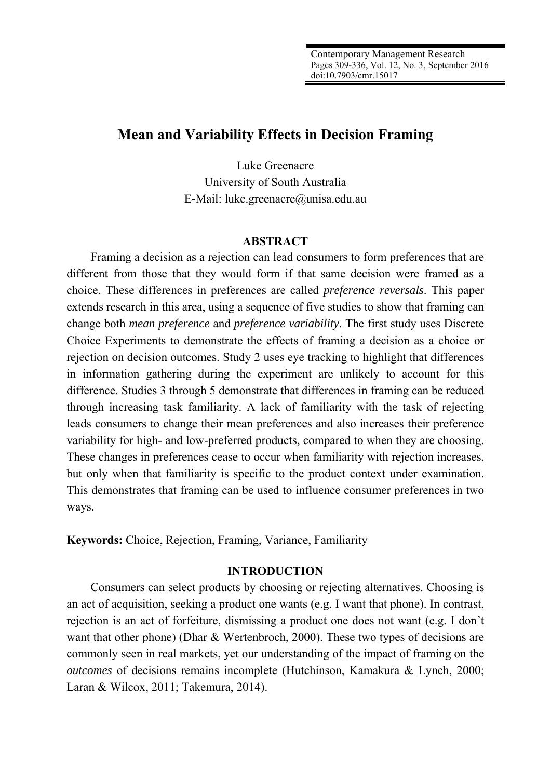# **Mean and Variability Effects in Decision Framing**

Luke Greenacre University of South Australia E-Mail: luke.greenacre@unisa.edu.au

## **ABSTRACT**

Framing a decision as a rejection can lead consumers to form preferences that are different from those that they would form if that same decision were framed as a choice. These differences in preferences are called *preference reversals*. This paper extends research in this area, using a sequence of five studies to show that framing can change both *mean preference* and *preference variability*. The first study uses Discrete Choice Experiments to demonstrate the effects of framing a decision as a choice or rejection on decision outcomes. Study 2 uses eye tracking to highlight that differences in information gathering during the experiment are unlikely to account for this difference. Studies 3 through 5 demonstrate that differences in framing can be reduced through increasing task familiarity. A lack of familiarity with the task of rejecting leads consumers to change their mean preferences and also increases their preference variability for high- and low-preferred products, compared to when they are choosing. These changes in preferences cease to occur when familiarity with rejection increases, but only when that familiarity is specific to the product context under examination. This demonstrates that framing can be used to influence consumer preferences in two ways.

**Keywords:** Choice, Rejection, Framing, Variance, Familiarity

#### **INTRODUCTION**

Consumers can select products by choosing or rejecting alternatives. Choosing is an act of acquisition, seeking a product one wants (e.g. I want that phone). In contrast, rejection is an act of forfeiture, dismissing a product one does not want (e.g. I don't want that other phone) (Dhar & Wertenbroch, 2000). These two types of decisions are commonly seen in real markets, yet our understanding of the impact of framing on the *outcomes* of decisions remains incomplete (Hutchinson, Kamakura & Lynch, 2000; Laran & Wilcox, 2011; Takemura, 2014).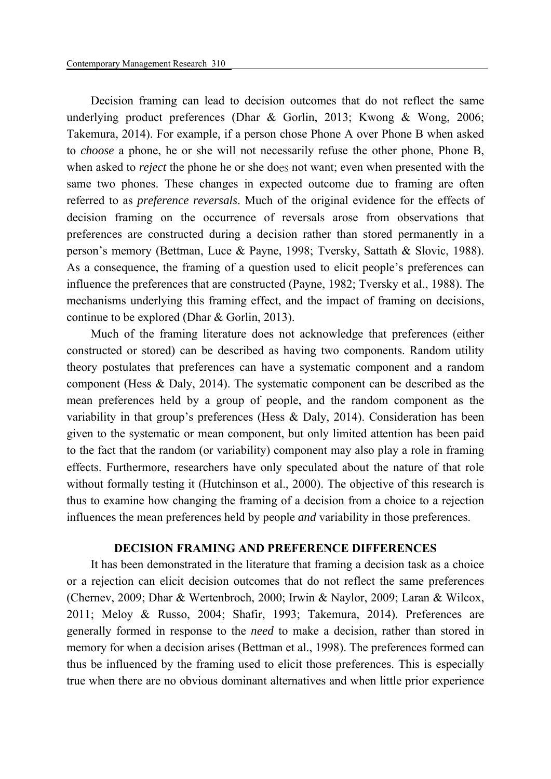Decision framing can lead to decision outcomes that do not reflect the same underlying product preferences (Dhar & Gorlin, 2013; Kwong & Wong, 2006; Takemura, 2014). For example, if a person chose Phone A over Phone B when asked to *choose* a phone, he or she will not necessarily refuse the other phone, Phone B, when asked to *reject* the phone he or she does not want; even when presented with the same two phones. These changes in expected outcome due to framing are often referred to as *preference reversals*. Much of the original evidence for the effects of decision framing on the occurrence of reversals arose from observations that preferences are constructed during a decision rather than stored permanently in a person's memory (Bettman, Luce & Payne, 1998; Tversky, Sattath & Slovic, 1988). As a consequence, the framing of a question used to elicit people's preferences can influence the preferences that are constructed (Payne, 1982; Tversky et al., 1988). The mechanisms underlying this framing effect, and the impact of framing on decisions, continue to be explored (Dhar & Gorlin, 2013).

Much of the framing literature does not acknowledge that preferences (either constructed or stored) can be described as having two components. Random utility theory postulates that preferences can have a systematic component and a random component (Hess & Daly, 2014). The systematic component can be described as the mean preferences held by a group of people, and the random component as the variability in that group's preferences (Hess & Daly, 2014). Consideration has been given to the systematic or mean component, but only limited attention has been paid to the fact that the random (or variability) component may also play a role in framing effects. Furthermore, researchers have only speculated about the nature of that role without formally testing it (Hutchinson et al., 2000). The objective of this research is thus to examine how changing the framing of a decision from a choice to a rejection influences the mean preferences held by people *and* variability in those preferences.

## **DECISION FRAMING AND PREFERENCE DIFFERENCES**

It has been demonstrated in the literature that framing a decision task as a choice or a rejection can elicit decision outcomes that do not reflect the same preferences (Chernev, 2009; Dhar & Wertenbroch, 2000; Irwin & Naylor, 2009; Laran & Wilcox, 2011; Meloy & Russo, 2004; Shafir, 1993; Takemura, 2014). Preferences are generally formed in response to the *need* to make a decision, rather than stored in memory for when a decision arises (Bettman et al., 1998). The preferences formed can thus be influenced by the framing used to elicit those preferences. This is especially true when there are no obvious dominant alternatives and when little prior experience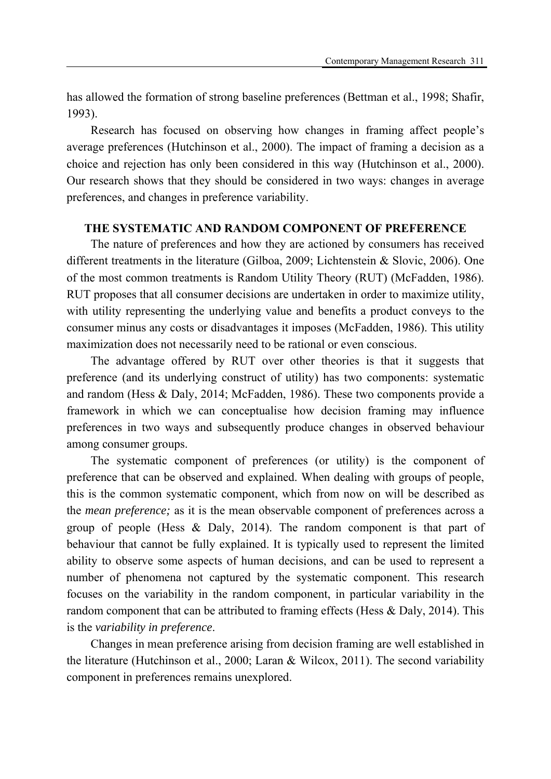has allowed the formation of strong baseline preferences (Bettman et al., 1998; Shafir, 1993).

Research has focused on observing how changes in framing affect people's average preferences (Hutchinson et al., 2000). The impact of framing a decision as a choice and rejection has only been considered in this way (Hutchinson et al., 2000). Our research shows that they should be considered in two ways: changes in average preferences, and changes in preference variability.

## **THE SYSTEMATIC AND RANDOM COMPONENT OF PREFERENCE**

The nature of preferences and how they are actioned by consumers has received different treatments in the literature (Gilboa, 2009; Lichtenstein & Slovic, 2006). One of the most common treatments is Random Utility Theory (RUT) (McFadden, 1986). RUT proposes that all consumer decisions are undertaken in order to maximize utility, with utility representing the underlying value and benefits a product conveys to the consumer minus any costs or disadvantages it imposes (McFadden, 1986). This utility maximization does not necessarily need to be rational or even conscious.

The advantage offered by RUT over other theories is that it suggests that preference (and its underlying construct of utility) has two components: systematic and random (Hess & Daly, 2014; McFadden, 1986). These two components provide a framework in which we can conceptualise how decision framing may influence preferences in two ways and subsequently produce changes in observed behaviour among consumer groups.

The systematic component of preferences (or utility) is the component of preference that can be observed and explained. When dealing with groups of people, this is the common systematic component, which from now on will be described as the *mean preference;* as it is the mean observable component of preferences across a group of people (Hess & Daly, 2014). The random component is that part of behaviour that cannot be fully explained. It is typically used to represent the limited ability to observe some aspects of human decisions, and can be used to represent a number of phenomena not captured by the systematic component. This research focuses on the variability in the random component, in particular variability in the random component that can be attributed to framing effects (Hess & Daly, 2014). This is the *variability in preference*.

Changes in mean preference arising from decision framing are well established in the literature (Hutchinson et al., 2000; Laran & Wilcox, 2011). The second variability component in preferences remains unexplored.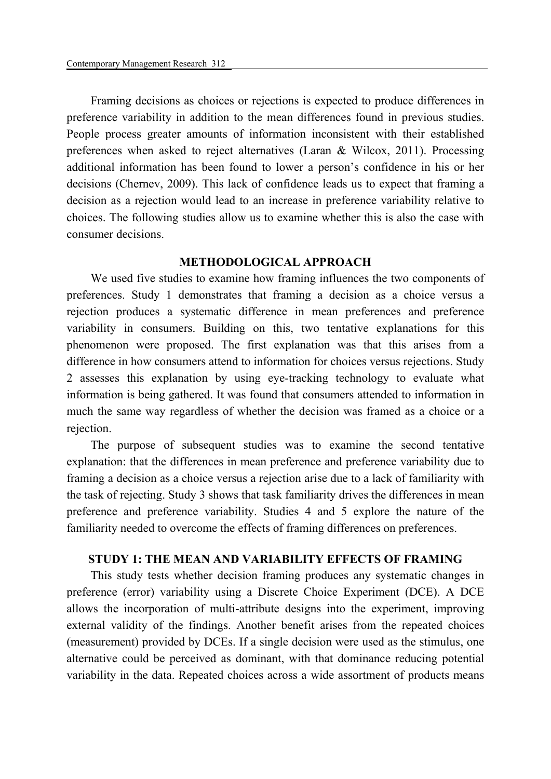Framing decisions as choices or rejections is expected to produce differences in preference variability in addition to the mean differences found in previous studies. People process greater amounts of information inconsistent with their established preferences when asked to reject alternatives (Laran & Wilcox, 2011). Processing additional information has been found to lower a person's confidence in his or her decisions (Chernev, 2009). This lack of confidence leads us to expect that framing a decision as a rejection would lead to an increase in preference variability relative to choices. The following studies allow us to examine whether this is also the case with consumer decisions.

## **METHODOLOGICAL APPROACH**

We used five studies to examine how framing influences the two components of preferences. Study 1 demonstrates that framing a decision as a choice versus a rejection produces a systematic difference in mean preferences and preference variability in consumers. Building on this, two tentative explanations for this phenomenon were proposed. The first explanation was that this arises from a difference in how consumers attend to information for choices versus rejections. Study 2 assesses this explanation by using eye-tracking technology to evaluate what information is being gathered. It was found that consumers attended to information in much the same way regardless of whether the decision was framed as a choice or a rejection.

The purpose of subsequent studies was to examine the second tentative explanation: that the differences in mean preference and preference variability due to framing a decision as a choice versus a rejection arise due to a lack of familiarity with the task of rejecting. Study 3 shows that task familiarity drives the differences in mean preference and preference variability. Studies 4 and 5 explore the nature of the familiarity needed to overcome the effects of framing differences on preferences.

#### **STUDY 1: THE MEAN AND VARIABILITY EFFECTS OF FRAMING**

This study tests whether decision framing produces any systematic changes in preference (error) variability using a Discrete Choice Experiment (DCE). A DCE allows the incorporation of multi-attribute designs into the experiment, improving external validity of the findings. Another benefit arises from the repeated choices (measurement) provided by DCEs. If a single decision were used as the stimulus, one alternative could be perceived as dominant, with that dominance reducing potential variability in the data. Repeated choices across a wide assortment of products means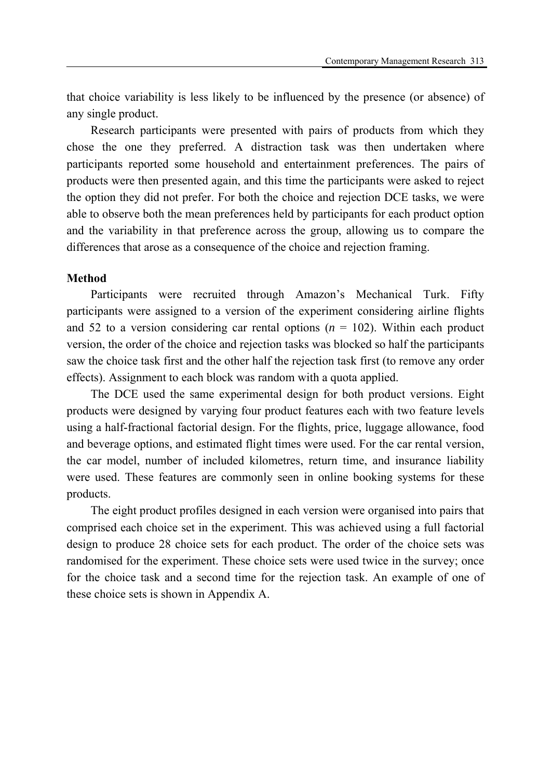that choice variability is less likely to be influenced by the presence (or absence) of any single product.

Research participants were presented with pairs of products from which they chose the one they preferred. A distraction task was then undertaken where participants reported some household and entertainment preferences. The pairs of products were then presented again, and this time the participants were asked to reject the option they did not prefer. For both the choice and rejection DCE tasks, we were able to observe both the mean preferences held by participants for each product option and the variability in that preference across the group, allowing us to compare the differences that arose as a consequence of the choice and rejection framing.

#### **Method**

Participants were recruited through Amazon's Mechanical Turk. Fifty participants were assigned to a version of the experiment considering airline flights and 52 to a version considering car rental options  $(n = 102)$ . Within each product version, the order of the choice and rejection tasks was blocked so half the participants saw the choice task first and the other half the rejection task first (to remove any order effects). Assignment to each block was random with a quota applied.

The DCE used the same experimental design for both product versions. Eight products were designed by varying four product features each with two feature levels using a half-fractional factorial design. For the flights, price, luggage allowance, food and beverage options, and estimated flight times were used. For the car rental version, the car model, number of included kilometres, return time, and insurance liability were used. These features are commonly seen in online booking systems for these products.

The eight product profiles designed in each version were organised into pairs that comprised each choice set in the experiment. This was achieved using a full factorial design to produce 28 choice sets for each product. The order of the choice sets was randomised for the experiment. These choice sets were used twice in the survey; once for the choice task and a second time for the rejection task. An example of one of these choice sets is shown in Appendix A.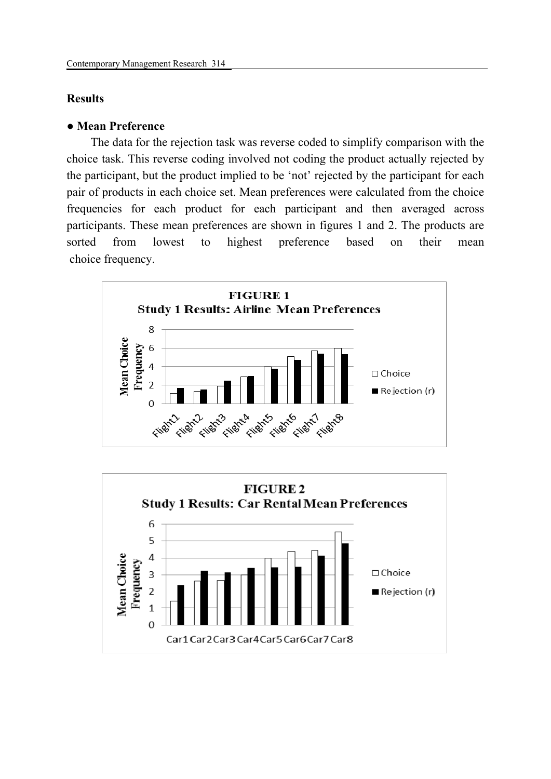## **Results**

## *●* **Mean Preference**

The data for the rejection task was reverse coded to simplify comparison with the choice task. This reverse coding involved not coding the product actually rejected by the participant, but the product implied to be 'not' rejected by the participant for each pair of products in each choice set. Mean preferences were calculated from the choice frequencies for each product for each participant and then averaged across participants. These mean preferences are shown in figures 1 and 2. The products are sorted from lowest to highest preference based on their mean choice frequency.



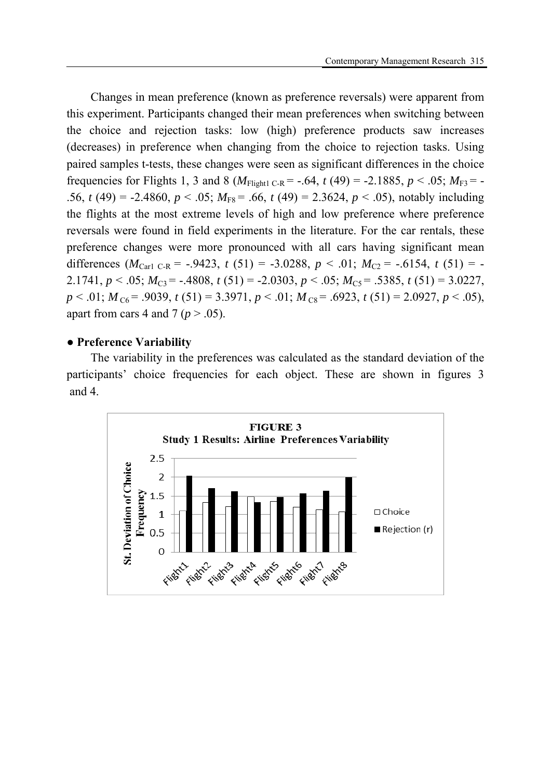Changes in mean preference (known as preference reversals) were apparent from this experiment. Participants changed their mean preferences when switching between the choice and rejection tasks: low (high) preference products saw increases (decreases) in preference when changing from the choice to rejection tasks. Using paired samples t-tests, these changes were seen as significant differences in the choice frequencies for Flights 1, 3 and 8 ( $M_{\text{Fli}$ <sub>C-R</sub> = -.64, *t* (49) = -2.1885, *p* < .05;  $M_{\text{F3}}$  = -.56, *t* (49) = -2.4860,  $p < .05$ ;  $M<sub>FS</sub> = .66$ , *t* (49) = 2.3624,  $p < .05$ ), notably including the flights at the most extreme levels of high and low preference where preference reversals were found in field experiments in the literature. For the car rentals, these preference changes were more pronounced with all cars having significant mean differences  $(M_{\text{Carl C-R}} = -.9423, t (51) = -3.0288, p < .01; M_{C2} = -.6154, t (51) = -1.0288, p < .01$ 2.1741,  $p < .05$ ;  $M_{C3} = -.4808$ ,  $t(51) = -2.0303$ ,  $p < .05$ ;  $M_{C5} = .5385$ ,  $t(51) = 3.0227$ ,  $p < .01$ ;  $M_{C6} = .9039$ ,  $t (51) = 3.3971$ ,  $p < .01$ ;  $M_{C8} = .6923$ ,  $t (51) = 2.0927$ ,  $p < .05$ ), apart from cars 4 and 7 ( $p > .05$ ).

## **● Preference Variability**

The variability in the preferences was calculated as the standard deviation of the participants' choice frequencies for each object. These are shown in figures 3 and 4.

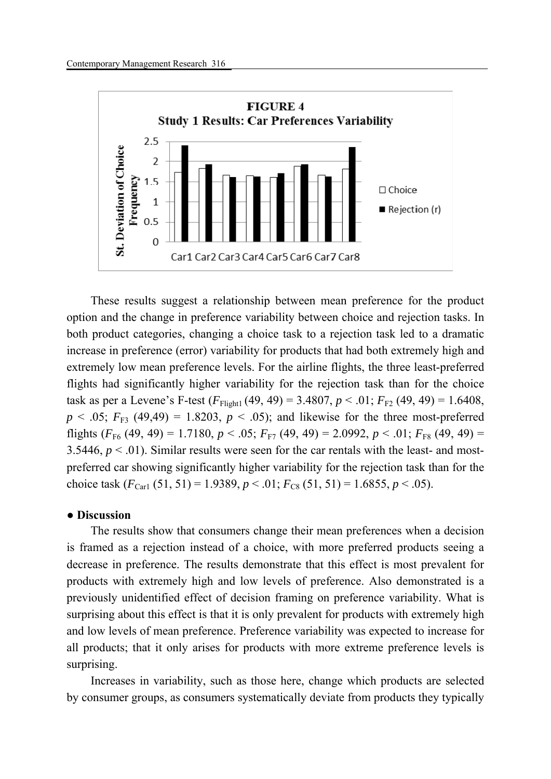

These results suggest a relationship between mean preference for the product option and the change in preference variability between choice and rejection tasks. In both product categories, changing a choice task to a rejection task led to a dramatic increase in preference (error) variability for products that had both extremely high and extremely low mean preference levels. For the airline flights, the three least-preferred flights had significantly higher variability for the rejection task than for the choice task as per a Levene's F-test  $(F_{\text{Flight1}}(49, 49) = 3.4807, p < .01; F_{\text{F2}}(49, 49) = 1.6408$ ,  $p < .05$ ;  $F_{F3}$  (49,49) = 1.8203,  $p < .05$ ); and likewise for the three most-preferred flights  $(F_{F6} (49, 49) = 1.7180, p < .05; F_{F7} (49, 49) = 2.0992, p < .01; F_{F8} (49, 49) =$ 3.5446,  $p < 0.01$ ). Similar results were seen for the car rentals with the least- and mostpreferred car showing significantly higher variability for the rejection task than for the choice task  $(F_{\text{Carl}}(51, 51) = 1.9389, p < .01; F_{\text{CS}}(51, 51) = 1.6855, p < .05)$ .

#### **● Discussion**

The results show that consumers change their mean preferences when a decision is framed as a rejection instead of a choice, with more preferred products seeing a decrease in preference. The results demonstrate that this effect is most prevalent for products with extremely high and low levels of preference. Also demonstrated is a previously unidentified effect of decision framing on preference variability. What is surprising about this effect is that it is only prevalent for products with extremely high and low levels of mean preference. Preference variability was expected to increase for all products; that it only arises for products with more extreme preference levels is surprising.

Increases in variability, such as those here, change which products are selected by consumer groups, as consumers systematically deviate from products they typically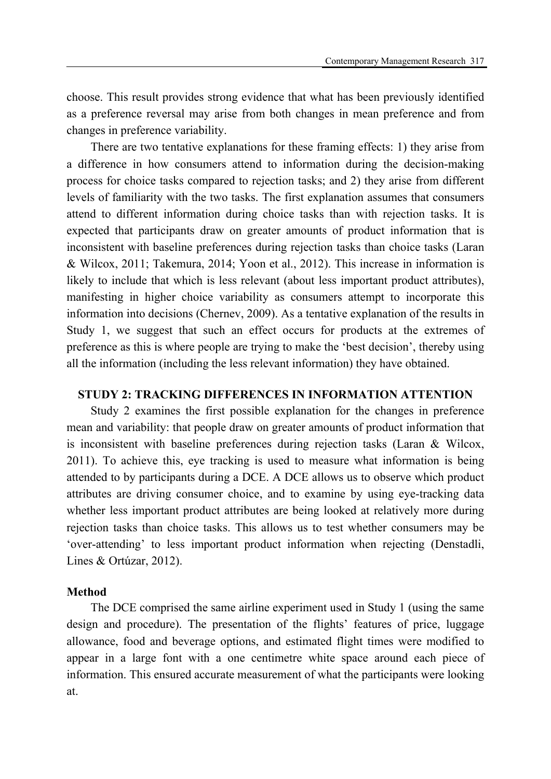choose. This result provides strong evidence that what has been previously identified as a preference reversal may arise from both changes in mean preference and from changes in preference variability.

There are two tentative explanations for these framing effects: 1) they arise from a difference in how consumers attend to information during the decision-making process for choice tasks compared to rejection tasks; and 2) they arise from different levels of familiarity with the two tasks. The first explanation assumes that consumers attend to different information during choice tasks than with rejection tasks. It is expected that participants draw on greater amounts of product information that is inconsistent with baseline preferences during rejection tasks than choice tasks (Laran & Wilcox, 2011; Takemura, 2014; Yoon et al., 2012). This increase in information is likely to include that which is less relevant (about less important product attributes), manifesting in higher choice variability as consumers attempt to incorporate this information into decisions (Chernev, 2009). As a tentative explanation of the results in Study 1, we suggest that such an effect occurs for products at the extremes of preference as this is where people are trying to make the 'best decision', thereby using all the information (including the less relevant information) they have obtained.

#### **STUDY 2: TRACKING DIFFERENCES IN INFORMATION ATTENTION**

Study 2 examines the first possible explanation for the changes in preference mean and variability: that people draw on greater amounts of product information that is inconsistent with baseline preferences during rejection tasks (Laran & Wilcox, 2011). To achieve this, eye tracking is used to measure what information is being attended to by participants during a DCE. A DCE allows us to observe which product attributes are driving consumer choice, and to examine by using eye-tracking data whether less important product attributes are being looked at relatively more during rejection tasks than choice tasks. This allows us to test whether consumers may be 'over-attending' to less important product information when rejecting (Denstadli, Lines & Ortúzar, 2012).

#### **Method**

The DCE comprised the same airline experiment used in Study 1 (using the same design and procedure). The presentation of the flights' features of price, luggage allowance, food and beverage options, and estimated flight times were modified to appear in a large font with a one centimetre white space around each piece of information. This ensured accurate measurement of what the participants were looking at.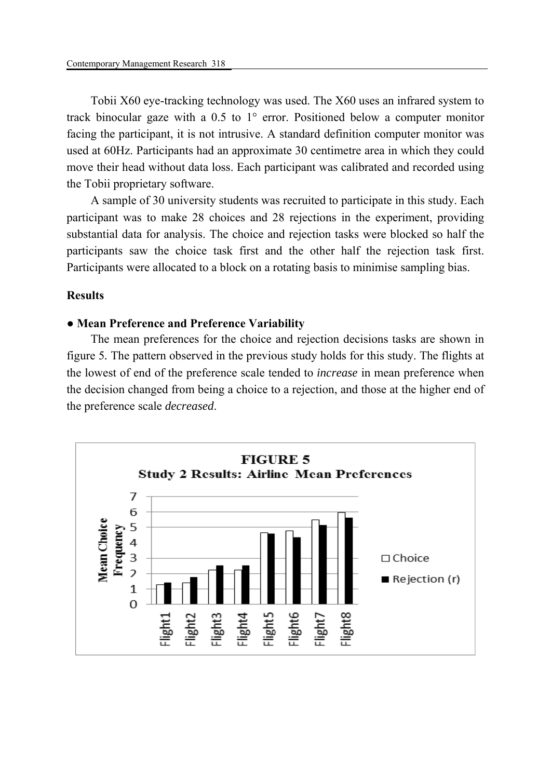Tobii X60 eye-tracking technology was used. The X60 uses an infrared system to track binocular gaze with a 0.5 to 1° error. Positioned below a computer monitor facing the participant, it is not intrusive. A standard definition computer monitor was used at 60Hz. Participants had an approximate 30 centimetre area in which they could move their head without data loss. Each participant was calibrated and recorded using the Tobii proprietary software.

A sample of 30 university students was recruited to participate in this study. Each participant was to make 28 choices and 28 rejections in the experiment, providing substantial data for analysis. The choice and rejection tasks were blocked so half the participants saw the choice task first and the other half the rejection task first. Participants were allocated to a block on a rotating basis to minimise sampling bias.

#### **Results**

### **● Mean Preference and Preference Variability**

The mean preferences for the choice and rejection decisions tasks are shown in figure 5*.* The pattern observed in the previous study holds for this study. The flights at the lowest of end of the preference scale tended to *increase* in mean preference when the decision changed from being a choice to a rejection, and those at the higher end of the preference scale *decreased*.

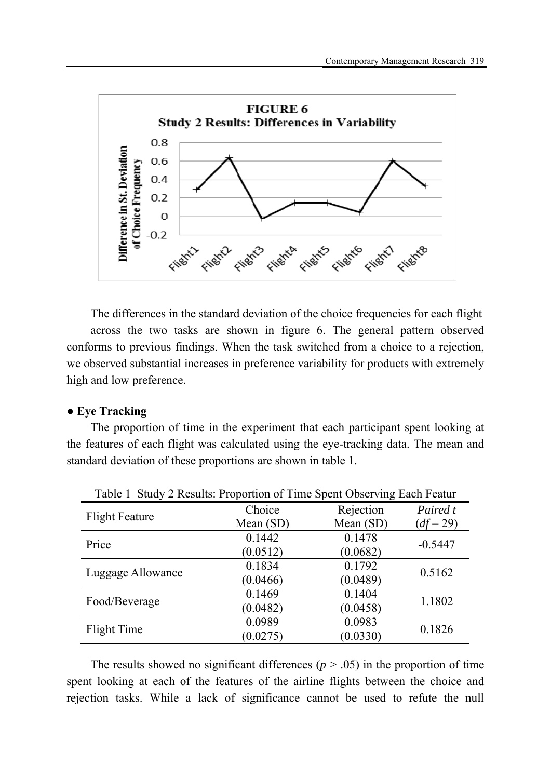

The differences in the standard deviation of the choice frequencies for each flight across the two tasks are shown in figure 6. The general pattern observed conforms to previous findings. When the task switched from a choice to a rejection, we observed substantial increases in preference variability for products with extremely high and low preference.

## **● Eye Tracking**

The proportion of time in the experiment that each participant spent looking at the features of each flight was calculated using the eye-tracking data. The mean and standard deviation of these proportions are shown in table 1.

| Table 1 Study 2 Results: Proportion of Time Spent Observing Each Featur |             |           |             |
|-------------------------------------------------------------------------|-------------|-----------|-------------|
| <b>Flight Feature</b>                                                   | Choice      | Rejection | Paired t    |
|                                                                         | Mean $(SD)$ | Mean (SD) | $(df = 29)$ |
| Price                                                                   | 0.1442      | 0.1478    | $-0.5447$   |
|                                                                         | (0.0512)    | (0.0682)  |             |
| Luggage Allowance                                                       | 0.1834      | 0.1792    | 0.5162      |
|                                                                         | (0.0466)    | (0.0489)  |             |
| Food/Beverage                                                           | 0.1469      | 0.1404    | 1.1802      |
|                                                                         | (0.0482)    | (0.0458)  |             |
| Flight Time                                                             | 0.0989      | 0.0983    | 0.1826      |
|                                                                         | (0.0275)    | (0.0330)  |             |

The results showed no significant differences  $(p > .05)$  in the proportion of time spent looking at each of the features of the airline flights between the choice and rejection tasks. While a lack of significance cannot be used to refute the null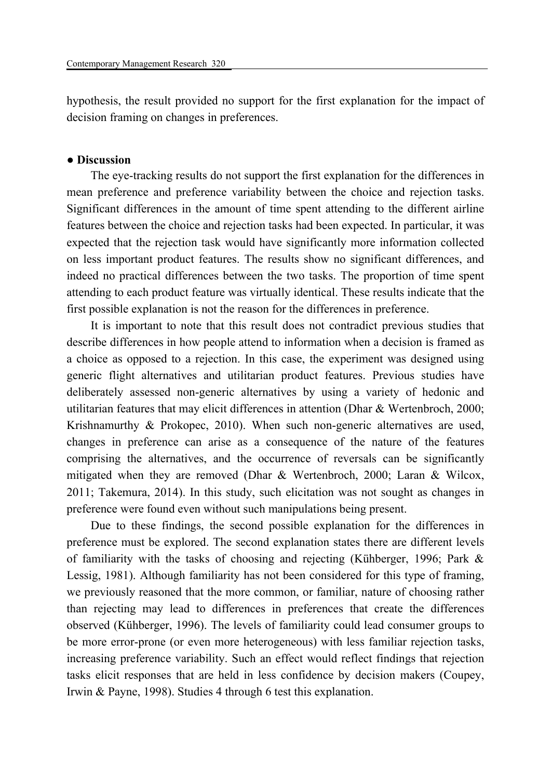hypothesis, the result provided no support for the first explanation for the impact of decision framing on changes in preferences.

### **● Discussion**

The eye-tracking results do not support the first explanation for the differences in mean preference and preference variability between the choice and rejection tasks. Significant differences in the amount of time spent attending to the different airline features between the choice and rejection tasks had been expected. In particular, it was expected that the rejection task would have significantly more information collected on less important product features. The results show no significant differences, and indeed no practical differences between the two tasks. The proportion of time spent attending to each product feature was virtually identical. These results indicate that the first possible explanation is not the reason for the differences in preference.

It is important to note that this result does not contradict previous studies that describe differences in how people attend to information when a decision is framed as a choice as opposed to a rejection. In this case, the experiment was designed using generic flight alternatives and utilitarian product features. Previous studies have deliberately assessed non-generic alternatives by using a variety of hedonic and utilitarian features that may elicit differences in attention (Dhar & Wertenbroch, 2000; Krishnamurthy & Prokopec, 2010). When such non-generic alternatives are used, changes in preference can arise as a consequence of the nature of the features comprising the alternatives, and the occurrence of reversals can be significantly mitigated when they are removed (Dhar & Wertenbroch, 2000; Laran & Wilcox, 2011; Takemura, 2014). In this study, such elicitation was not sought as changes in preference were found even without such manipulations being present.

Due to these findings, the second possible explanation for the differences in preference must be explored. The second explanation states there are different levels of familiarity with the tasks of choosing and rejecting (Kühberger, 1996; Park & Lessig, 1981). Although familiarity has not been considered for this type of framing, we previously reasoned that the more common, or familiar, nature of choosing rather than rejecting may lead to differences in preferences that create the differences observed (Kühberger, 1996). The levels of familiarity could lead consumer groups to be more error-prone (or even more heterogeneous) with less familiar rejection tasks, increasing preference variability. Such an effect would reflect findings that rejection tasks elicit responses that are held in less confidence by decision makers (Coupey, Irwin & Payne, 1998). Studies 4 through 6 test this explanation.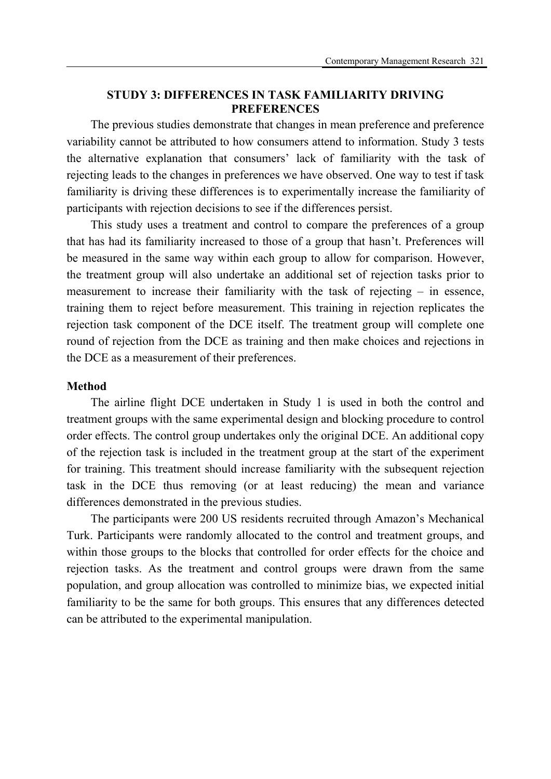## **STUDY 3: DIFFERENCES IN TASK FAMILIARITY DRIVING PREFERENCES**

The previous studies demonstrate that changes in mean preference and preference variability cannot be attributed to how consumers attend to information. Study 3 tests the alternative explanation that consumers' lack of familiarity with the task of rejecting leads to the changes in preferences we have observed. One way to test if task familiarity is driving these differences is to experimentally increase the familiarity of participants with rejection decisions to see if the differences persist.

This study uses a treatment and control to compare the preferences of a group that has had its familiarity increased to those of a group that hasn't. Preferences will be measured in the same way within each group to allow for comparison. However, the treatment group will also undertake an additional set of rejection tasks prior to measurement to increase their familiarity with the task of rejecting – in essence, training them to reject before measurement. This training in rejection replicates the rejection task component of the DCE itself. The treatment group will complete one round of rejection from the DCE as training and then make choices and rejections in the DCE as a measurement of their preferences.

#### **Method**

The airline flight DCE undertaken in Study 1 is used in both the control and treatment groups with the same experimental design and blocking procedure to control order effects. The control group undertakes only the original DCE. An additional copy of the rejection task is included in the treatment group at the start of the experiment for training. This treatment should increase familiarity with the subsequent rejection task in the DCE thus removing (or at least reducing) the mean and variance differences demonstrated in the previous studies.

The participants were 200 US residents recruited through Amazon's Mechanical Turk. Participants were randomly allocated to the control and treatment groups, and within those groups to the blocks that controlled for order effects for the choice and rejection tasks. As the treatment and control groups were drawn from the same population, and group allocation was controlled to minimize bias, we expected initial familiarity to be the same for both groups. This ensures that any differences detected can be attributed to the experimental manipulation.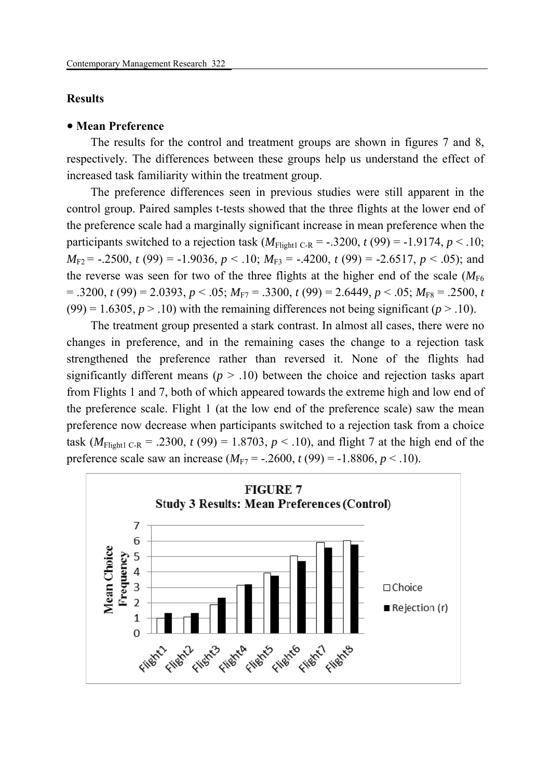#### **Results**

#### **Mean Preference**

The results for the control and treatment groups are shown in figures 7 and 8, respectively*.* The differences between these groups help us understand the effect of increased task familiarity within the treatment group.

The preference differences seen in previous studies were still apparent in the control group. Paired samples t-tests showed that the three flights at the lower end of the preference scale had a marginally significant increase in mean preference when the participants switched to a rejection task  $(M_{\text{Fli}ent1 C-R} = -.3200, t(99) = -1.9174, p < .10;$  $M_{F2}$  = -.2500, *t* (99) = -1.9036, *p* < .10;  $M_{F3}$  = -.4200, *t* (99) = -2.6517, *p* < .05); and the reverse was seen for two of the three flights at the higher end of the scale  $(M_{F6})$  $= .3200, t(99) = 2.0393, p < .05; M_{F7} = .3300, t(99) = 2.6449, p < .05; M_{F8} = .2500, t(99) = .05$  $(99) = 1.6305, p > .10$ ) with the remaining differences not being significant ( $p > .10$ ).

The treatment group presented a stark contrast. In almost all cases, there were no changes in preference, and in the remaining cases the change to a rejection task strengthened the preference rather than reversed it. None of the flights had significantly different means ( $p > .10$ ) between the choice and rejection tasks apart from Flights 1 and 7, both of which appeared towards the extreme high and low end of the preference scale. Flight 1 (at the low end of the preference scale) saw the mean preference now decrease when participants switched to a rejection task from a choice task ( $M_{\text{Flight1 C-R}}$  = .2300,  $t$  (99) = 1.8703,  $p < .10$ ), and flight 7 at the high end of the preference scale saw an increase  $(M_{F7} = -.2600, t(99) = -1.8806, p < .10)$ .

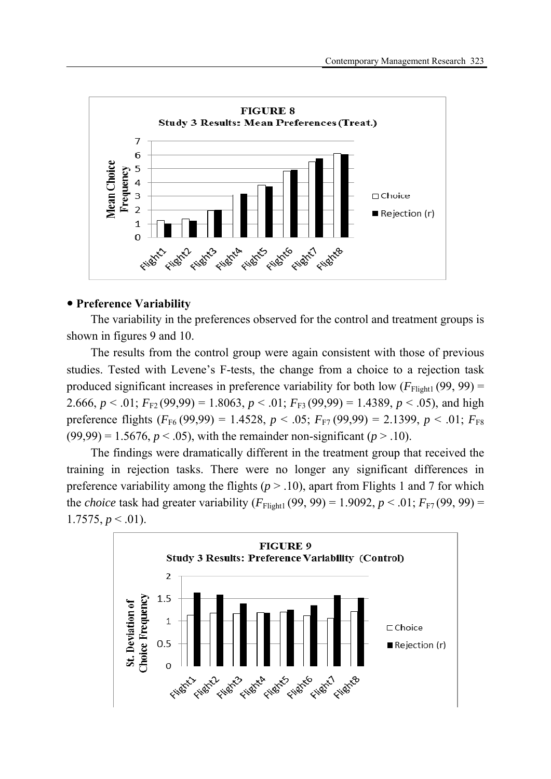

## **Preference Variability**

The variability in the preferences observed for the control and treatment groups is shown in figures 9 and 10.

The results from the control group were again consistent with those of previous studies. Tested with Levene's F-tests, the change from a choice to a rejection task produced significant increases in preference variability for both low  $(F_{F_{light1}}(99, 99) =$ 2.666,  $p < .01$ ;  $F_{F2}(99,99) = 1.8063$ ,  $p < .01$ ;  $F_{F3}(99,99) = 1.4389$ ,  $p < .05$ ), and high preference flights  $(F_{F6} (99,99) = 1.4528, p < .05; F_{F7} (99,99) = 2.1399, p < .01; F_{F8}$  $(99,99) = 1.5676, p < .05$ , with the remainder non-significant ( $p > .10$ ).

The findings were dramatically different in the treatment group that received the training in rejection tasks. There were no longer any significant differences in preference variability among the flights ( $p > 0.10$ ), apart from Flights 1 and 7 for which the *choice* task had greater variability  $(F_{Flight1}(99, 99) = 1.9092, p < .01; F_{F7}(99, 99) =$  $1.7575, p \leq .01$ ).

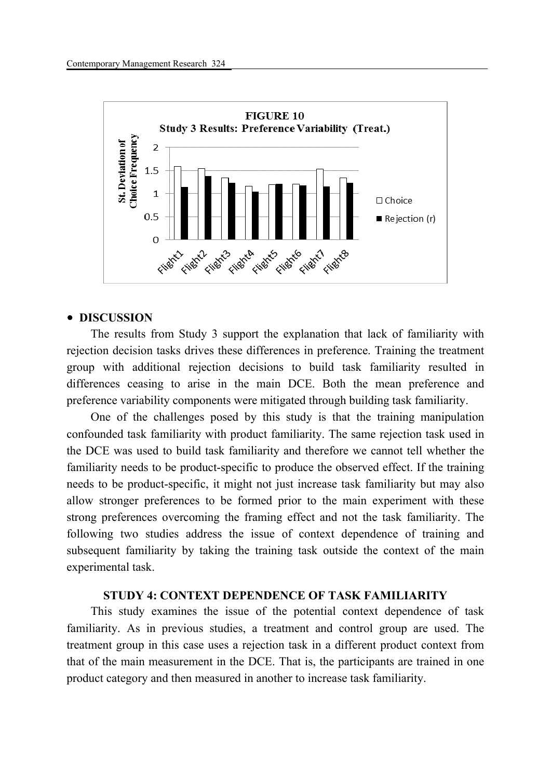

#### **DISCUSSION**

The results from Study 3 support the explanation that lack of familiarity with rejection decision tasks drives these differences in preference. Training the treatment group with additional rejection decisions to build task familiarity resulted in differences ceasing to arise in the main DCE. Both the mean preference and preference variability components were mitigated through building task familiarity.

One of the challenges posed by this study is that the training manipulation confounded task familiarity with product familiarity. The same rejection task used in the DCE was used to build task familiarity and therefore we cannot tell whether the familiarity needs to be product-specific to produce the observed effect. If the training needs to be product-specific, it might not just increase task familiarity but may also allow stronger preferences to be formed prior to the main experiment with these strong preferences overcoming the framing effect and not the task familiarity. The following two studies address the issue of context dependence of training and subsequent familiarity by taking the training task outside the context of the main experimental task.

## **STUDY 4: CONTEXT DEPENDENCE OF TASK FAMILIARITY**

This study examines the issue of the potential context dependence of task familiarity. As in previous studies, a treatment and control group are used. The treatment group in this case uses a rejection task in a different product context from that of the main measurement in the DCE. That is, the participants are trained in one product category and then measured in another to increase task familiarity.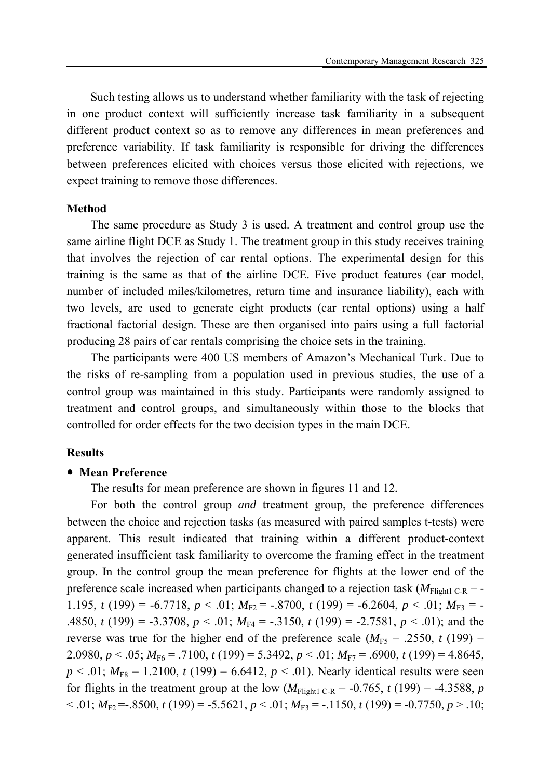Such testing allows us to understand whether familiarity with the task of rejecting in one product context will sufficiently increase task familiarity in a subsequent different product context so as to remove any differences in mean preferences and preference variability. If task familiarity is responsible for driving the differences between preferences elicited with choices versus those elicited with rejections, we expect training to remove those differences.

#### **Method**

The same procedure as Study 3 is used. A treatment and control group use the same airline flight DCE as Study 1. The treatment group in this study receives training that involves the rejection of car rental options. The experimental design for this training is the same as that of the airline DCE. Five product features (car model, number of included miles/kilometres, return time and insurance liability), each with two levels, are used to generate eight products (car rental options) using a half fractional factorial design. These are then organised into pairs using a full factorial producing 28 pairs of car rentals comprising the choice sets in the training.

The participants were 400 US members of Amazon's Mechanical Turk. Due to the risks of re-sampling from a population used in previous studies, the use of a control group was maintained in this study. Participants were randomly assigned to treatment and control groups, and simultaneously within those to the blocks that controlled for order effects for the two decision types in the main DCE.

### **Results**

### **Mean Preference**

The results for mean preference are shown in figures 11 and 12*.* 

For both the control group *and* treatment group, the preference differences between the choice and rejection tasks (as measured with paired samples t-tests) were apparent. This result indicated that training within a different product-context generated insufficient task familiarity to overcome the framing effect in the treatment group. In the control group the mean preference for flights at the lower end of the preference scale increased when participants changed to a rejection task  $(M_{Fliøht1 C-R} = -$ 1.195, *t* (199) = -6.7718, *p* < .01;  $M_{F2}$  = -.8700, *t* (199) = -6.2604, *p* < .01;  $M_{F3}$  = -.4850, *t* (199) = -3.3708,  $p < .01$ ;  $M_{F4} = -.3150$ , *t* (199) = -2.7581,  $p < .01$ ); and the reverse was true for the higher end of the preference scale  $(M<sub>FS</sub> = .2550, t(199) =$ 2.0980,  $p < .05$ ;  $M_{F6} = .7100$ ,  $t (199) = 5.3492$ ,  $p < .01$ ;  $M_{F7} = .6900$ ,  $t (199) = 4.8645$ ,  $p < .01$ ;  $M_{F8} = 1.2100$ ,  $t(199) = 6.6412$ ,  $p < .01$ ). Nearly identical results were seen for flights in the treatment group at the low  $(M_{Flicht1 C-R} = -0.765, t (199) = -4.3588, p$  $< .01; M_{F2} = .8500, t(199) = .5.5621, p < .01; M_{F3} = .1150, t(199) = .0.7750, p > .10;$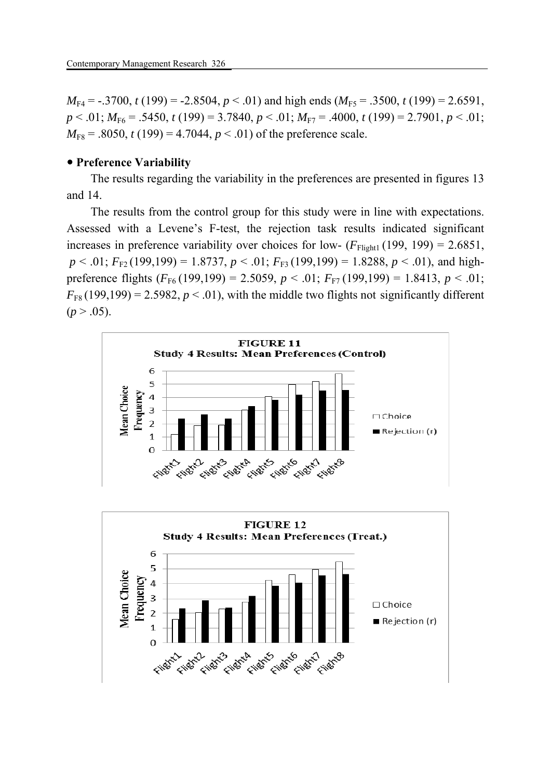$M_{\text{F4}} = -.3700, t(199) = -2.8504, p < .01$ ) and high ends  $(M_{\text{F5}} = .3500, t(199) = 2.6591,$ *p* < .01; *M*F6 = .5450, *t* (199) = 3.7840, *p* < .01; *M*F7 = .4000, *t* (199) = 2.7901, *p* < .01;  $M_{F8} = .8050$ ,  $t(199) = 4.7044$ ,  $p < .01$ ) of the preference scale.

## **Preference Variability**

The results regarding the variability in the preferences are presented in figures 13 and 14.

The results from the control group for this study were in line with expectations. Assessed with a Levene's F-test, the rejection task results indicated significant increases in preference variability over choices for low-  $(F_{\text{Fli}eht1} (199, 199) = 2.6851$ ,  $p < .01$ ;  $F_{F2}$  (199,199) = 1.8737,  $p < .01$ ;  $F_{F3}$  (199,199) = 1.8288,  $p < .01$ ), and highpreference flights  $(F_{F6} (199, 199) = 2.5059, p < .01; F_{F7} (199, 199) = 1.8413, p < .01;$  $F_{FS}(199,199) = 2.5982, p < .01$ , with the middle two flights not significantly different  $(p > .05)$ .



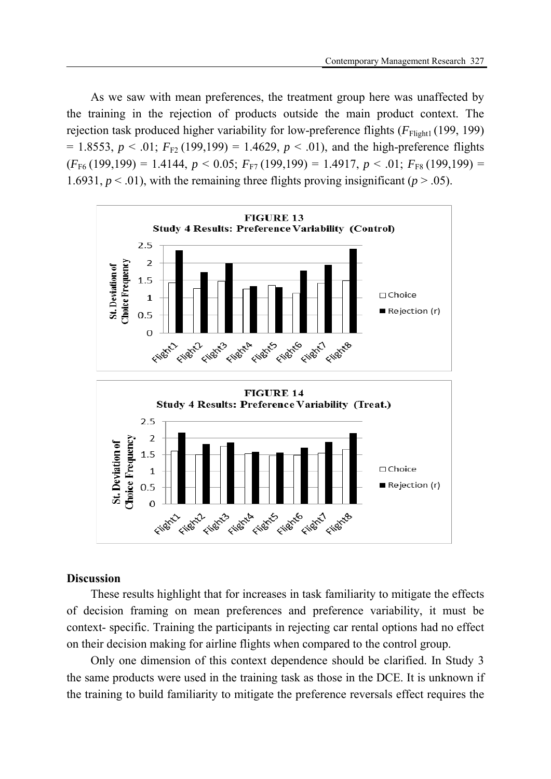As we saw with mean preferences, the treatment group here was unaffected by the training in the rejection of products outside the main product context. The rejection task produced higher variability for low-preference flights ( $F_{\text{Flight1}}$  (199, 199)  $= 1.8553, p < .01; F<sub>F2</sub> (199,199) = 1.4629, p < .01$ , and the high-preference flights  $(F_{F6} (199,199) = 1.4144, p < 0.05; F_{F7} (199,199) = 1.4917, p < .01; F_{F8} (199,199) =$ 1.6931,  $p < .01$ ), with the remaining three flights proving insignificant ( $p > .05$ ).



### **Discussion**

These results highlight that for increases in task familiarity to mitigate the effects of decision framing on mean preferences and preference variability, it must be context- specific. Training the participants in rejecting car rental options had no effect on their decision making for airline flights when compared to the control group.

Only one dimension of this context dependence should be clarified. In Study 3 the same products were used in the training task as those in the DCE. It is unknown if the training to build familiarity to mitigate the preference reversals effect requires the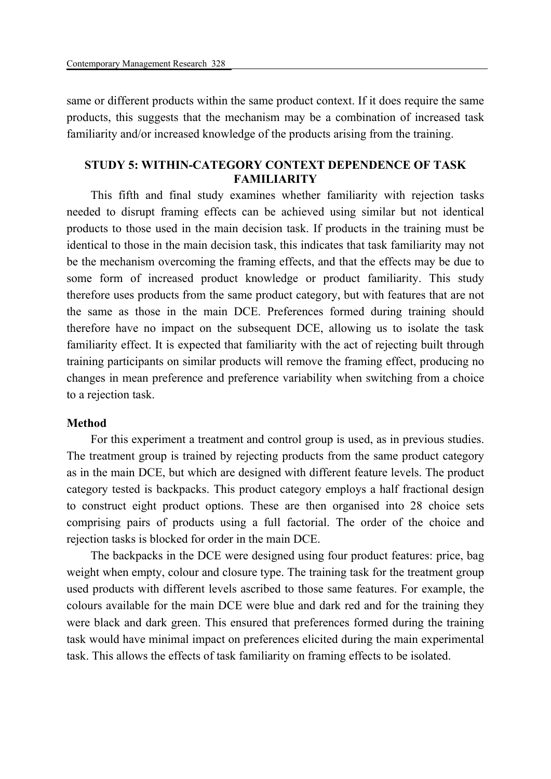same or different products within the same product context. If it does require the same products, this suggests that the mechanism may be a combination of increased task familiarity and/or increased knowledge of the products arising from the training.

## **STUDY 5: WITHIN-CATEGORY CONTEXT DEPENDENCE OF TASK FAMILIARITY**

This fifth and final study examines whether familiarity with rejection tasks needed to disrupt framing effects can be achieved using similar but not identical products to those used in the main decision task. If products in the training must be identical to those in the main decision task, this indicates that task familiarity may not be the mechanism overcoming the framing effects, and that the effects may be due to some form of increased product knowledge or product familiarity. This study therefore uses products from the same product category, but with features that are not the same as those in the main DCE. Preferences formed during training should therefore have no impact on the subsequent DCE, allowing us to isolate the task familiarity effect. It is expected that familiarity with the act of rejecting built through training participants on similar products will remove the framing effect, producing no changes in mean preference and preference variability when switching from a choice to a rejection task.

#### **Method**

For this experiment a treatment and control group is used, as in previous studies. The treatment group is trained by rejecting products from the same product category as in the main DCE, but which are designed with different feature levels. The product category tested is backpacks. This product category employs a half fractional design to construct eight product options. These are then organised into 28 choice sets comprising pairs of products using a full factorial. The order of the choice and rejection tasks is blocked for order in the main DCE.

The backpacks in the DCE were designed using four product features: price, bag weight when empty, colour and closure type. The training task for the treatment group used products with different levels ascribed to those same features. For example, the colours available for the main DCE were blue and dark red and for the training they were black and dark green. This ensured that preferences formed during the training task would have minimal impact on preferences elicited during the main experimental task. This allows the effects of task familiarity on framing effects to be isolated.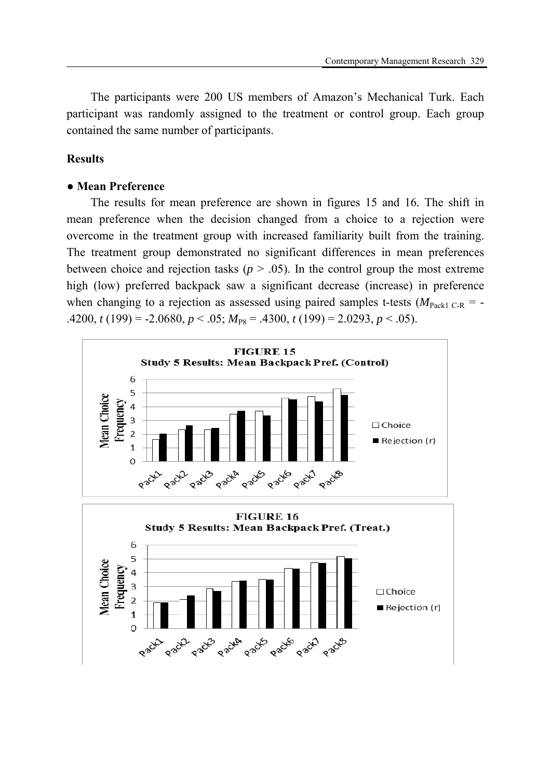The participants were 200 US members of Amazon's Mechanical Turk. Each participant was randomly assigned to the treatment or control group. Each group contained the same number of participants.

## **Results**

### **● Mean Preference**

The results for mean preference are shown in figures 15 and 16*.* The shift in mean preference when the decision changed from a choice to a rejection were overcome in the treatment group with increased familiarity built from the training. The treatment group demonstrated no significant differences in mean preferences between choice and rejection tasks ( $p > .05$ ). In the control group the most extreme high (low) preferred backpack saw a significant decrease (increase) in preference when changing to a rejection as assessed using paired samples t-tests ( $M_{\text{Pack1 C-R}}$  = -.4200,  $t(199) = -2.0680, p < .05; M_{ps} = .4300, t(199) = 2.0293, p < .05$ .

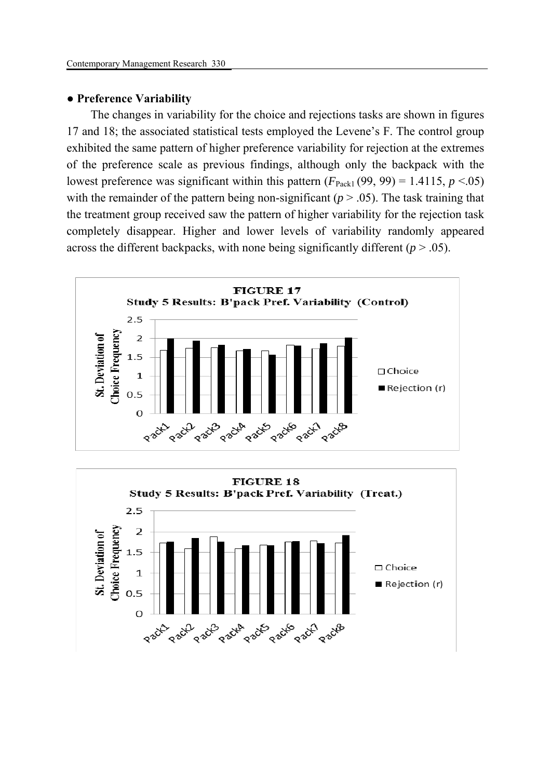#### **● Preference Variability**

The changes in variability for the choice and rejections tasks are shown in figures 17 and 18; the associated statistical tests employed the Levene's F. The control group exhibited the same pattern of higher preference variability for rejection at the extremes of the preference scale as previous findings, although only the backpack with the lowest preference was significant within this pattern  $(F_{\text{Pack1}}(99, 99) = 1.4115, p \le 0.05)$ with the remainder of the pattern being non-significant ( $p > .05$ ). The task training that the treatment group received saw the pattern of higher variability for the rejection task completely disappear. Higher and lower levels of variability randomly appeared across the different backpacks, with none being significantly different  $(p > .05)$ .



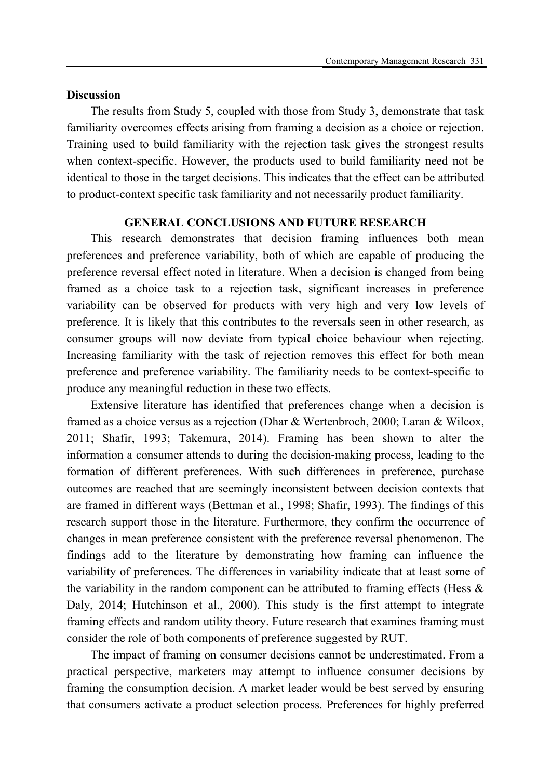## **Discussion**

The results from Study 5, coupled with those from Study 3, demonstrate that task familiarity overcomes effects arising from framing a decision as a choice or rejection. Training used to build familiarity with the rejection task gives the strongest results when context-specific. However, the products used to build familiarity need not be identical to those in the target decisions. This indicates that the effect can be attributed to product-context specific task familiarity and not necessarily product familiarity.

## **GENERAL CONCLUSIONS AND FUTURE RESEARCH**

This research demonstrates that decision framing influences both mean preferences and preference variability, both of which are capable of producing the preference reversal effect noted in literature. When a decision is changed from being framed as a choice task to a rejection task, significant increases in preference variability can be observed for products with very high and very low levels of preference. It is likely that this contributes to the reversals seen in other research, as consumer groups will now deviate from typical choice behaviour when rejecting. Increasing familiarity with the task of rejection removes this effect for both mean preference and preference variability. The familiarity needs to be context-specific to produce any meaningful reduction in these two effects.

Extensive literature has identified that preferences change when a decision is framed as a choice versus as a rejection (Dhar & Wertenbroch, 2000; Laran & Wilcox, 2011; Shafir, 1993; Takemura, 2014). Framing has been shown to alter the information a consumer attends to during the decision-making process, leading to the formation of different preferences. With such differences in preference, purchase outcomes are reached that are seemingly inconsistent between decision contexts that are framed in different ways (Bettman et al., 1998; Shafir, 1993). The findings of this research support those in the literature. Furthermore, they confirm the occurrence of changes in mean preference consistent with the preference reversal phenomenon. The findings add to the literature by demonstrating how framing can influence the variability of preferences. The differences in variability indicate that at least some of the variability in the random component can be attributed to framing effects (Hess & Daly, 2014; Hutchinson et al., 2000). This study is the first attempt to integrate framing effects and random utility theory. Future research that examines framing must consider the role of both components of preference suggested by RUT.

The impact of framing on consumer decisions cannot be underestimated. From a practical perspective, marketers may attempt to influence consumer decisions by framing the consumption decision. A market leader would be best served by ensuring that consumers activate a product selection process. Preferences for highly preferred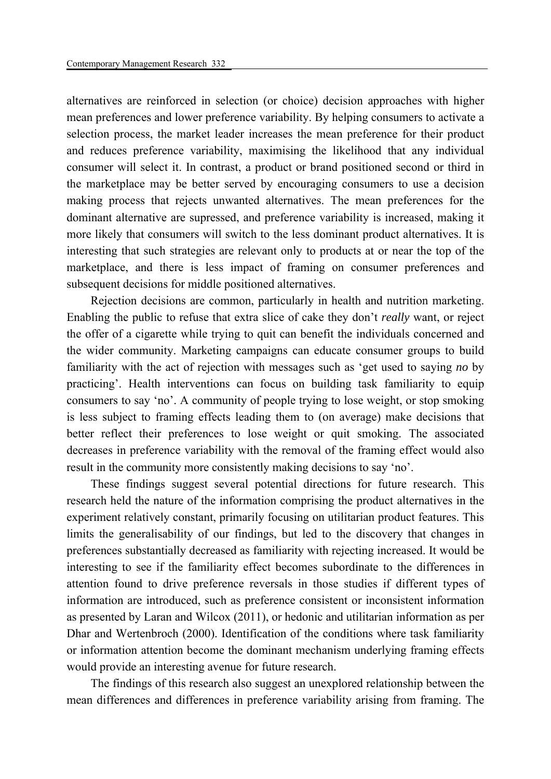alternatives are reinforced in selection (or choice) decision approaches with higher mean preferences and lower preference variability. By helping consumers to activate a selection process, the market leader increases the mean preference for their product and reduces preference variability, maximising the likelihood that any individual consumer will select it. In contrast, a product or brand positioned second or third in the marketplace may be better served by encouraging consumers to use a decision making process that rejects unwanted alternatives. The mean preferences for the dominant alternative are supressed, and preference variability is increased, making it more likely that consumers will switch to the less dominant product alternatives. It is interesting that such strategies are relevant only to products at or near the top of the marketplace, and there is less impact of framing on consumer preferences and subsequent decisions for middle positioned alternatives.

Rejection decisions are common, particularly in health and nutrition marketing. Enabling the public to refuse that extra slice of cake they don't *really* want, or reject the offer of a cigarette while trying to quit can benefit the individuals concerned and the wider community. Marketing campaigns can educate consumer groups to build familiarity with the act of rejection with messages such as 'get used to saying *no* by practicing'. Health interventions can focus on building task familiarity to equip consumers to say 'no'. A community of people trying to lose weight, or stop smoking is less subject to framing effects leading them to (on average) make decisions that better reflect their preferences to lose weight or quit smoking. The associated decreases in preference variability with the removal of the framing effect would also result in the community more consistently making decisions to say 'no'.

These findings suggest several potential directions for future research. This research held the nature of the information comprising the product alternatives in the experiment relatively constant, primarily focusing on utilitarian product features. This limits the generalisability of our findings, but led to the discovery that changes in preferences substantially decreased as familiarity with rejecting increased. It would be interesting to see if the familiarity effect becomes subordinate to the differences in attention found to drive preference reversals in those studies if different types of information are introduced, such as preference consistent or inconsistent information as presented by Laran and Wilcox (2011), or hedonic and utilitarian information as per Dhar and Wertenbroch (2000). Identification of the conditions where task familiarity or information attention become the dominant mechanism underlying framing effects would provide an interesting avenue for future research.

The findings of this research also suggest an unexplored relationship between the mean differences and differences in preference variability arising from framing. The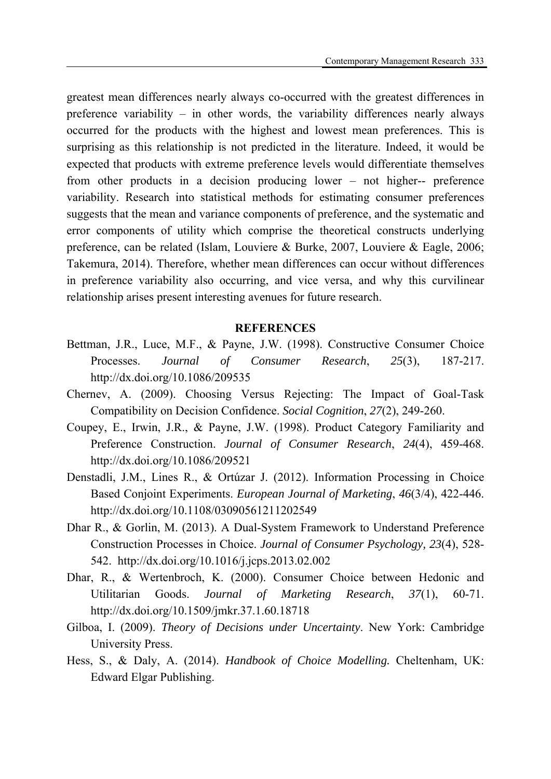greatest mean differences nearly always co-occurred with the greatest differences in preference variability – in other words, the variability differences nearly always occurred for the products with the highest and lowest mean preferences. This is surprising as this relationship is not predicted in the literature. Indeed, it would be expected that products with extreme preference levels would differentiate themselves from other products in a decision producing lower – not higher-- preference variability. Research into statistical methods for estimating consumer preferences suggests that the mean and variance components of preference, and the systematic and error components of utility which comprise the theoretical constructs underlying preference, can be related (Islam, Louviere & Burke, 2007, Louviere & Eagle, 2006; Takemura, 2014). Therefore, whether mean differences can occur without differences in preference variability also occurring, and vice versa, and why this curvilinear relationship arises present interesting avenues for future research.

### **REFERENCES**

- Bettman, J.R., Luce, M.F., & Payne, J.W. (1998). Constructive Consumer Choice Processes. *Journal of Consumer Research*, *25*(3), 187-217. http://dx.doi.org/10.1086/209535
- Chernev, A. (2009). Choosing Versus Rejecting: The Impact of Goal-Task Compatibility on Decision Confidence. *Social Cognition*, *27*(2), 249-260.
- Coupey, E., Irwin, J.R., & Payne, J.W. (1998). Product Category Familiarity and Preference Construction. *Journal of Consumer Research*, *24*(4), 459-468. http://dx.doi.org/10.1086/209521
- Denstadli, J.M., Lines R., & Ortúzar J. (2012). Information Processing in Choice Based Conjoint Experiments. *European Journal of Marketing*, *46*(3/4), 422-446. http://dx.doi.org/10.1108/03090561211202549
- Dhar R., & Gorlin, M. (2013). A Dual-System Framework to Understand Preference Construction Processes in Choice. *Journal of Consumer Psychology, 23*(4), 528- 542. http://dx.doi.org/10.1016/j.jcps.2013.02.002
- Dhar, R., & Wertenbroch, K. (2000). Consumer Choice between Hedonic and Utilitarian Goods. *Journal of Marketing Research*, *37*(1), 60-71. http://dx.doi.org/10.1509/jmkr.37.1.60.18718
- Gilboa, I. (2009). *Theory of Decisions under Uncertainty*. New York: Cambridge University Press.
- Hess, S., & Daly, A. (2014). *Handbook of Choice Modelling.* Cheltenham, UK: Edward Elgar Publishing.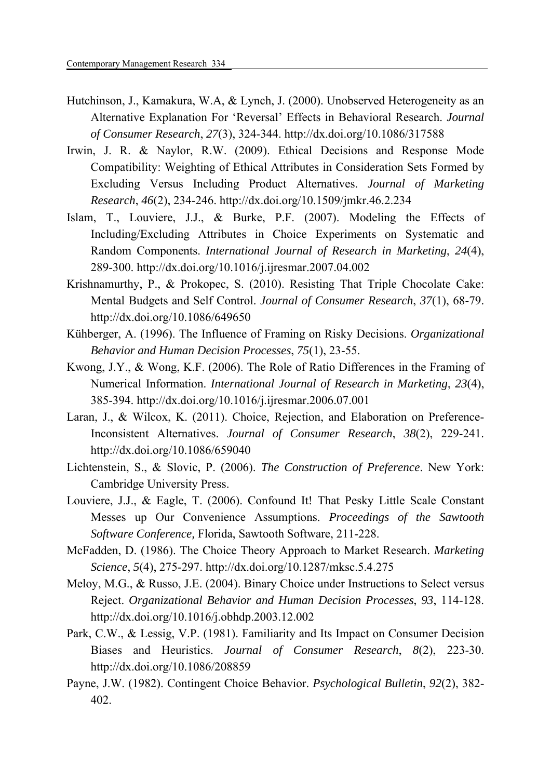- Hutchinson, J., Kamakura, W.A, & Lynch, J. (2000). Unobserved Heterogeneity as an Alternative Explanation For 'Reversal' Effects in Behavioral Research. *Journal of Consumer Research*, *27*(3), 324-344. http://dx.doi.org/10.1086/317588
- Irwin, J. R. & Naylor, R.W. (2009). Ethical Decisions and Response Mode Compatibility: Weighting of Ethical Attributes in Consideration Sets Formed by Excluding Versus Including Product Alternatives. *Journal of Marketing Research*, *46*(2), 234-246. http://dx.doi.org/10.1509/jmkr.46.2.234
- Islam, T., Louviere, J.J., & Burke, P.F. (2007). Modeling the Effects of Including/Excluding Attributes in Choice Experiments on Systematic and Random Components. *International Journal of Research in Marketing*, *24*(4), 289-300. http://dx.doi.org/10.1016/j.ijresmar.2007.04.002
- Krishnamurthy, P., & Prokopec, S. (2010). Resisting That Triple Chocolate Cake: Mental Budgets and Self Control. *Journal of Consumer Research*, *37*(1), 68-79. http://dx.doi.org/10.1086/649650
- Kühberger, A. (1996). The Influence of Framing on Risky Decisions. *Organizational Behavior and Human Decision Processes*, *75*(1), 23-55.
- Kwong, J.Y., & Wong, K.F. (2006). The Role of Ratio Differences in the Framing of Numerical Information. *International Journal of Research in Marketing*, *23*(4), 385-394. http://dx.doi.org/10.1016/j.ijresmar.2006.07.001
- Laran, J., & Wilcox, K. (2011). Choice, Rejection, and Elaboration on Preference-Inconsistent Alternatives. *Journal of Consumer Research*, *38*(2), 229-241. http://dx.doi.org/10.1086/659040
- Lichtenstein, S., & Slovic, P. (2006). *The Construction of Preference*. New York: Cambridge University Press.
- Louviere, J.J., & Eagle, T. (2006). Confound It! That Pesky Little Scale Constant Messes up Our Convenience Assumptions. *Proceedings of the Sawtooth Software Conference,* Florida, Sawtooth Software, 211-228.
- McFadden, D. (1986). The Choice Theory Approach to Market Research. *Marketing Science*, *5*(4), 275-297. http://dx.doi.org/10.1287/mksc.5.4.275
- Meloy, M.G., & Russo, J.E. (2004). Binary Choice under Instructions to Select versus Reject. *Organizational Behavior and Human Decision Processes*, *93*, 114-128. http://dx.doi.org/10.1016/j.obhdp.2003.12.002
- Park, C.W., & Lessig, V.P. (1981). Familiarity and Its Impact on Consumer Decision Biases and Heuristics. *Journal of Consumer Research*, *8*(2), 223-30. http://dx.doi.org/10.1086/208859
- Payne, J.W. (1982). Contingent Choice Behavior. *Psychological Bulletin*, *92*(2), 382- 402.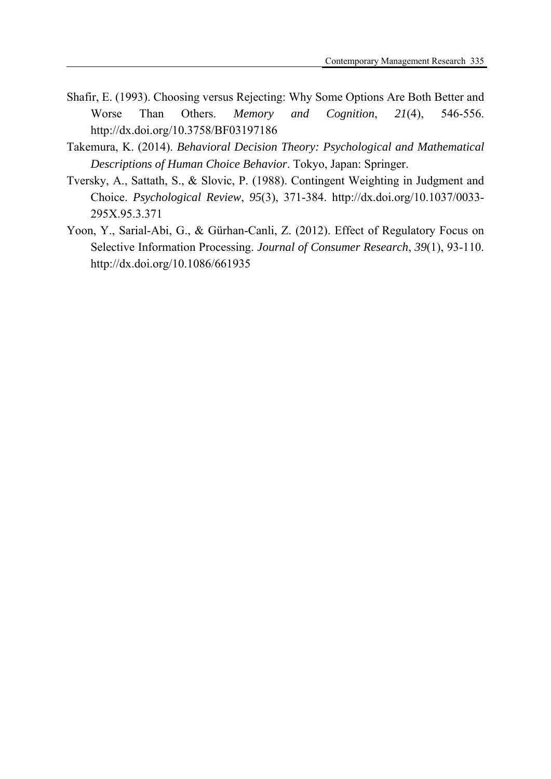- Shafir, E. (1993). Choosing versus Rejecting: Why Some Options Are Both Better and Worse Than Others. *Memory and Cognition*, *21*(4), 546-556. http://dx.doi.org/10.3758/BF03197186
- Takemura, K. (2014). *Behavioral Decision Theory: Psychological and Mathematical Descriptions of Human Choice Behavior*. Tokyo, Japan: Springer.
- Tversky, A., Sattath, S., & Slovic, P. (1988). Contingent Weighting in Judgment and Choice. *Psychological Review*, *95*(3), 371-384. http://dx.doi.org/10.1037/0033- 295X.95.3.371
- Yoon, Y., Sarial-Abi, G., & Gürhan-Canli, Z. (2012). Effect of Regulatory Focus on Selective Information Processing. *Journal of Consumer Research*, *39*(1), 93-110. http://dx.doi.org/10.1086/661935